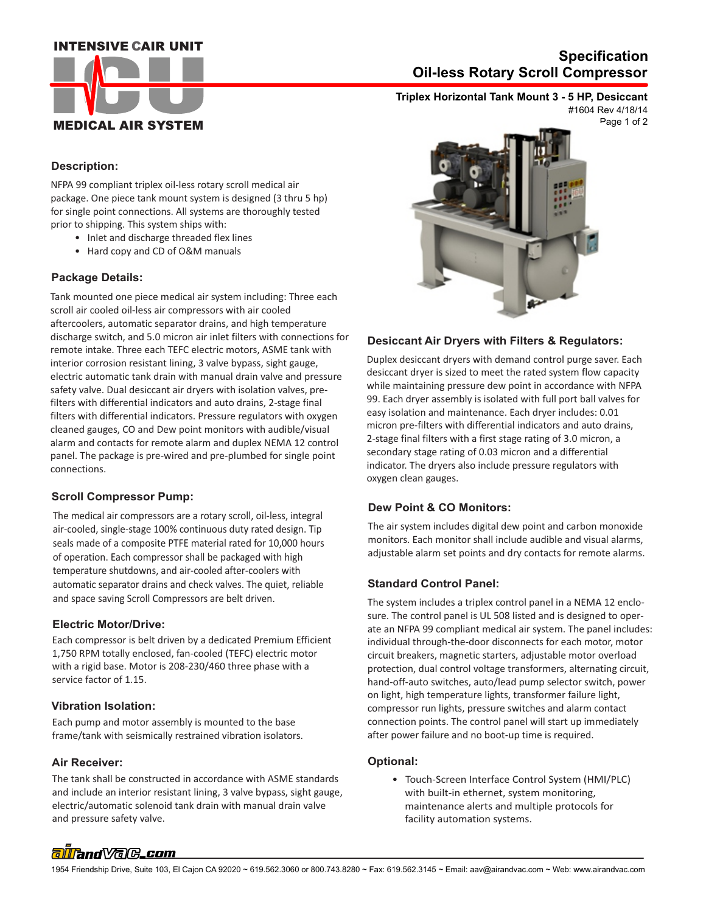## **INTENSIVE CAIR UNIT**



# **Oil-less Rotary Scroll Compressor Specification**

**Triplex Horizontal Tank Mount 3 - 5 HP, Desiccant** #1604 Rev 4/18/14

Page 1 of 2

#### **Description:**

NFPA 99 compliant triplex oil-less rotary scroll medical air package. One piece tank mount system is designed (3 thru 5 hp) for single point connections. All systems are thoroughly tested prior to shipping. This system ships with:

- Inlet and discharge threaded flex lines
- Hard copy and CD of O&M manuals

### **Package Details:**

Tank mounted one piece medical air system including: Three each scroll air cooled oil-less air compressors with air cooled aftercoolers, automatic separator drains, and high temperature discharge switch, and 5.0 micron air inlet filters with connections for remote intake. Three each TEFC electric motors, ASME tank with interior corrosion resistant lining, 3 valve bypass, sight gauge, electric automatic tank drain with manual drain valve and pressure safety valve. Dual desiccant air dryers with isolation valves, prefilters with differential indicators and auto drains, 2-stage final filters with differential indicators. Pressure regulators with oxygen cleaned gauges, CO and Dew point monitors with audible/visual alarm and contacts for remote alarm and duplex NEMA 12 control panel. The package is pre-wired and pre-plumbed for single point connections.

### **Scroll Compressor Pump:**

The medical air compressors are a rotary scroll, oil-less, integral air-cooled, single-stage 100% continuous duty rated design. Tip seals made of a composite PTFE material rated for 10,000 hours of operation. Each compressor shall be packaged with high temperature shutdowns, and air-cooled after-coolers with automatic separator drains and check valves. The quiet, reliable and space saving Scroll Compressors are belt driven.

#### **Electric Motor/Drive:**

Each compressor is belt driven by a dedicated Premium Efficient 1,750 RPM totally enclosed, fan-cooled (TEFC) electric motor with a rigid base. Motor is 208-230/460 three phase with a service factor of 1.15.

### **Vibration Isolation:**

Each pump and motor assembly is mounted to the base frame/tank with seismically restrained vibration isolators.

### **Air Receiver:**

 and pressure safety valve. The tank shall be constructed in accordance with ASME standards and include an interior resistant lining, 3 valve bypass, sight gauge, electric/automatic solenoid tank drain with manual drain valve



### **Desiccant Air Dryers with Filters & Regulators:**

Duplex desiccant dryers with demand control purge saver. Each desiccant dryer is sized to meet the rated system flow capacity while maintaining pressure dew point in accordance with NFPA 99. Each dryer assembly is isolated with full port ball valves for easy isolation and maintenance. Each dryer includes: 0.01 micron pre-filters with differential indicators and auto drains, 2-stage final filters with a first stage rating of 3.0 micron, a secondary stage rating of 0.03 micron and a differential indicator. The dryers also include pressure regulators with oxygen clean gauges.

### **Dew Point & CO Monitors:**

The air system includes digital dew point and carbon monoxide monitors. Each monitor shall include audible and visual alarms, adjustable alarm set points and dry contacts for remote alarms.

### **Standard Control Panel:**

The system includes a triplex control panel in a NEMA 12 enclosure. The control panel is UL 508 listed and is designed to operate an NFPA 99 compliant medical air system. The panel includes: individual through-the-door disconnects for each motor, motor circuit breakers, magnetic starters, adjustable motor overload protection, dual control voltage transformers, alternating circuit, hand-off-auto switches, auto/lead pump selector switch, power on light, high temperature lights, transformer failure light, compressor run lights, pressure switches and alarm contact connection points. The control panel will start up immediately after power failure and no boot-up time is required.

#### **Optional:**

 • Touch-Screen Interface Control System (HMI/PLC) with built-in ethernet, system monitoring, maintenance alerts and multiple protocols for facility automation systems.

# alland Vale\_com

1954 Friendship Drive, Suite 103, El Cajon CA 92020 ~ 619.562.3060 or 800.743.8280 ~ Fax: 619.562.3145 ~ Email: aav@airandvac.com ~ Web: www.airandvac.com